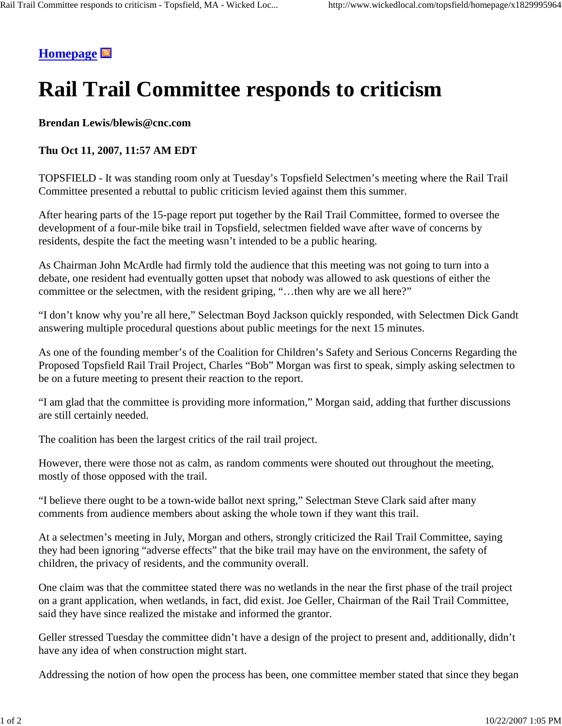## **Homepage**

## **Rail Trail Committee responds to criticism**

## **Brendan Lewis/blewis@cnc.com**

## **Thu Oct 11, 2007, 11:57 AM EDT**

TOPSFIELD - It was standing room only at Tuesday's Topsfield Selectmen's meeting where the Rail Trail Committee presented a rebuttal to public criticism levied against them this summer.

After hearing parts of the 15-page report put together by the Rail Trail Committee, formed to oversee the development of a four-mile bike trail in Topsfield, selectmen fielded wave after wave of concerns by residents, despite the fact the meeting wasn't intended to be a public hearing.

As Chairman John McArdle had firmly told the audience that this meeting was not going to turn into a debate, one resident had eventually gotten upset that nobody was allowed to ask questions of either the committee or the selectmen, with the resident griping, "…then why are we all here?"

"I don't know why you're all here," Selectman Boyd Jackson quickly responded, with Selectmen Dick Gandt answering multiple procedural questions about public meetings for the next 15 minutes.

As one of the founding member's of the Coalition for Children's Safety and Serious Concerns Regarding the Proposed Topsfield Rail Trail Project, Charles "Bob" Morgan was first to speak, simply asking selectmen to be on a future meeting to present their reaction to the report.

"I am glad that the committee is providing more information," Morgan said, adding that further discussions are still certainly needed.

The coalition has been the largest critics of the rail trail project.

However, there were those not as calm, as random comments were shouted out throughout the meeting, mostly of those opposed with the trail.

"I believe there ought to be a town-wide ballot next spring," Selectman Steve Clark said after many comments from audience members about asking the whole town if they want this trail.

At a selectmen's meeting in July, Morgan and others, strongly criticized the Rail Trail Committee, saying they had been ignoring "adverse effects" that the bike trail may have on the environment, the safety of children, the privacy of residents, and the community overall.

One claim was that the committee stated there was no wetlands in the near the first phase of the trail project on a grant application, when wetlands, in fact, did exist. Joe Geller, Chairman of the Rail Trail Committee, said they have since realized the mistake and informed the grantor.

Geller stressed Tuesday the committee didn't have a design of the project to present and, additionally, didn't have any idea of when construction might start.

Addressing the notion of how open the process has been, one committee member stated that since they began